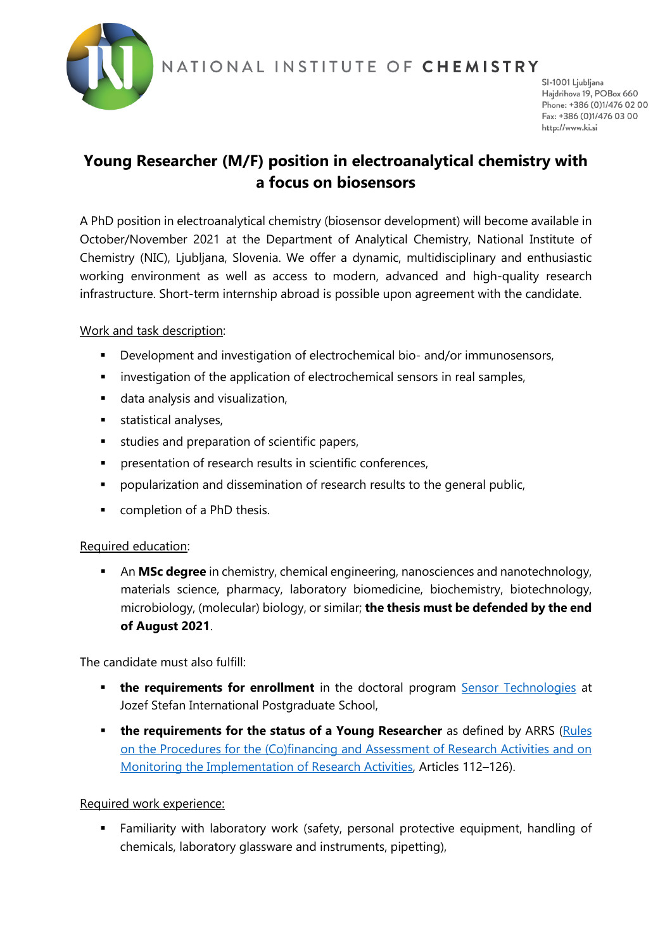

NATIONAL INSTITUTE OF CHEMISTRY

SI-1001 Ljubljana Hajdrihova 19, POBox 660 Phone: +386 (0)1/476 02 00 Fax: +386 (0)1/476 03 00 http://www.ki.si

# **Young Researcher (M/F) position in electroanalytical chemistry with a focus on biosensors**

A PhD position in electroanalytical chemistry (biosensor development) will become available in October/November 2021 at the Department of Analytical Chemistry, National Institute of Chemistry (NIC), Ljubljana, Slovenia. We offer a dynamic, multidisciplinary and enthusiastic working environment as well as access to modern, advanced and high-quality research infrastructure. Short-term internship abroad is possible upon agreement with the candidate.

## Work and task description:

- **Development and investigation of electrochemical bio- and/or immunosensors,**
- **EXECT** investigation of the application of electrochemical sensors in real samples,
- data analysis and visualization,
- **statistical analyses,**
- **studies and preparation of scientific papers,**
- **PEDIENE FIGHTS Interpolation of research results in scientific conferences,**
- **Perm** popularization and dissemination of research results to the general public,
- **•** completion of a PhD thesis.

## Required education:

 An **MSc degree** in chemistry, chemical engineering, nanosciences and nanotechnology, materials science, pharmacy, laboratory biomedicine, biochemistry, biotechnology, microbiology, (molecular) biology, or similar; **the thesis must be defended by the end of August 2021**.

The candidate must also fulfill:

- **the requirements for enrollment** in the doctoral program [Sensor Technologies](https://www.mps.si/en/studij/bolonjski-studij-tretje-stopnje/senzorske-tehnologije/) at Jozef Stefan International Postgraduate School,
- **the requirements for the status of a Young Researcher** as defined by ARRS (Rules [on the Procedures for the \(Co\)financing and Assessment of Research Activities and on](https://www.arrs.si/en/akti/20/prav-sof-ocen-sprem-razisk-dej-okt20.asp)  [Monitoring the Implementation of Research Activities,](https://www.arrs.si/en/akti/20/prav-sof-ocen-sprem-razisk-dej-okt20.asp) Articles 112–126).

#### Required work experience:

 Familiarity with laboratory work (safety, personal protective equipment, handling of chemicals, laboratory glassware and instruments, pipetting),